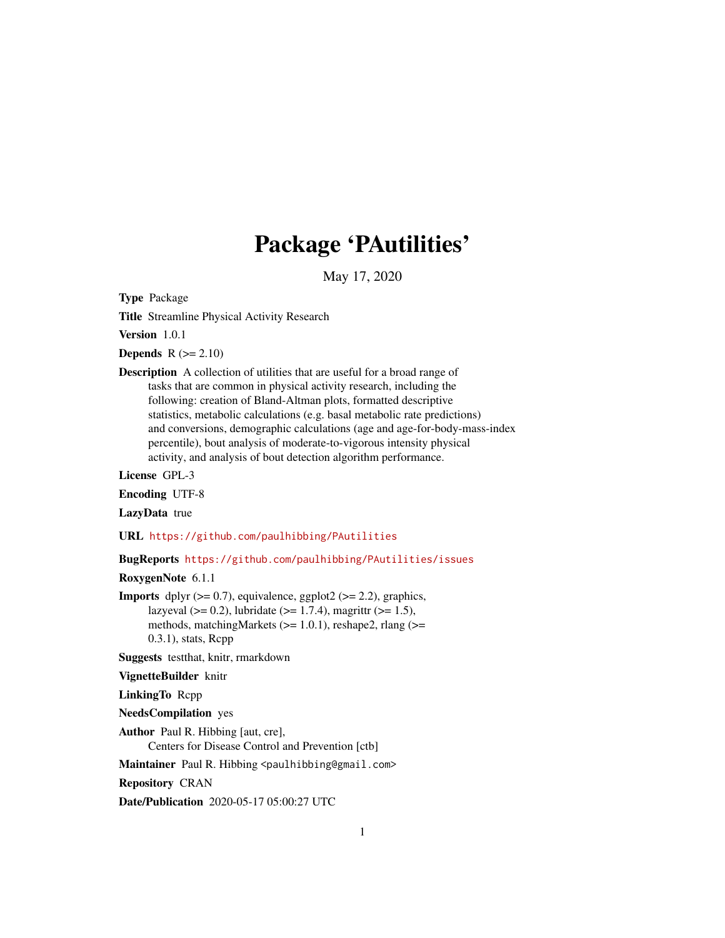# Package 'PAutilities'

May 17, 2020

<span id="page-0-0"></span>Type Package

Title Streamline Physical Activity Research

Version 1.0.1

**Depends**  $R (= 2.10)$ 

Description A collection of utilities that are useful for a broad range of tasks that are common in physical activity research, including the following: creation of Bland-Altman plots, formatted descriptive statistics, metabolic calculations (e.g. basal metabolic rate predictions) and conversions, demographic calculations (age and age-for-body-mass-index percentile), bout analysis of moderate-to-vigorous intensity physical activity, and analysis of bout detection algorithm performance.

License GPL-3

Encoding UTF-8

LazyData true

URL <https://github.com/paulhibbing/PAutilities>

BugReports <https://github.com/paulhibbing/PAutilities/issues>

RoxygenNote 6.1.1

**Imports** dplyr  $(>= 0.7)$ , equivalence, ggplot2  $(>= 2.2)$ , graphics, lazyeval ( $> = 0.2$ ), lubridate ( $> = 1.7.4$ ), magrittr ( $> = 1.5$ ), methods, matchingMarkets (>= 1.0.1), reshape2, rlang (>= 0.3.1), stats, Rcpp

Suggests testthat, knitr, rmarkdown

VignetteBuilder knitr

LinkingTo Rcpp

NeedsCompilation yes

Author Paul R. Hibbing [aut, cre], Centers for Disease Control and Prevention [ctb]

Maintainer Paul R. Hibbing <paulhibbing@gmail.com>

Repository CRAN

Date/Publication 2020-05-17 05:00:27 UTC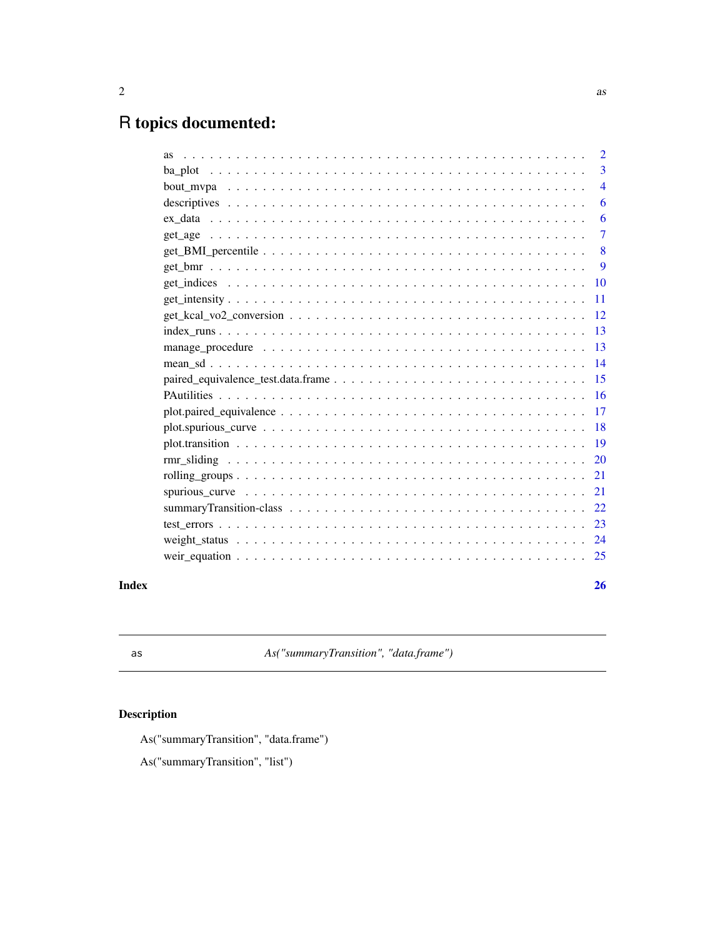## <span id="page-1-0"></span>R topics documented:

|       |                                                                                                                        | $\overline{3}$            |
|-------|------------------------------------------------------------------------------------------------------------------------|---------------------------|
|       |                                                                                                                        | $\overline{4}$            |
|       |                                                                                                                        | -6                        |
|       |                                                                                                                        | -6                        |
|       |                                                                                                                        | $\overline{7}$            |
|       |                                                                                                                        | $\overline{\phantom{0}}8$ |
|       |                                                                                                                        | -9                        |
|       |                                                                                                                        |                           |
|       |                                                                                                                        |                           |
|       |                                                                                                                        |                           |
|       |                                                                                                                        |                           |
|       |                                                                                                                        |                           |
|       |                                                                                                                        |                           |
|       |                                                                                                                        |                           |
|       |                                                                                                                        |                           |
|       |                                                                                                                        |                           |
|       | $plot.spurious\_curve \dots \dots \dots \dots \dots \dots \dots \dots \dots \dots \dots \dots \dots \dots \dots \dots$ |                           |
|       |                                                                                                                        |                           |
|       |                                                                                                                        |                           |
|       |                                                                                                                        |                           |
|       |                                                                                                                        |                           |
|       |                                                                                                                        |                           |
|       |                                                                                                                        |                           |
|       |                                                                                                                        |                           |
|       |                                                                                                                        |                           |
| Index |                                                                                                                        | 26                        |

as *As("summaryTransition", "data.frame")*

### Description

As("summaryTransition", "data.frame")

As("summaryTransition", "list")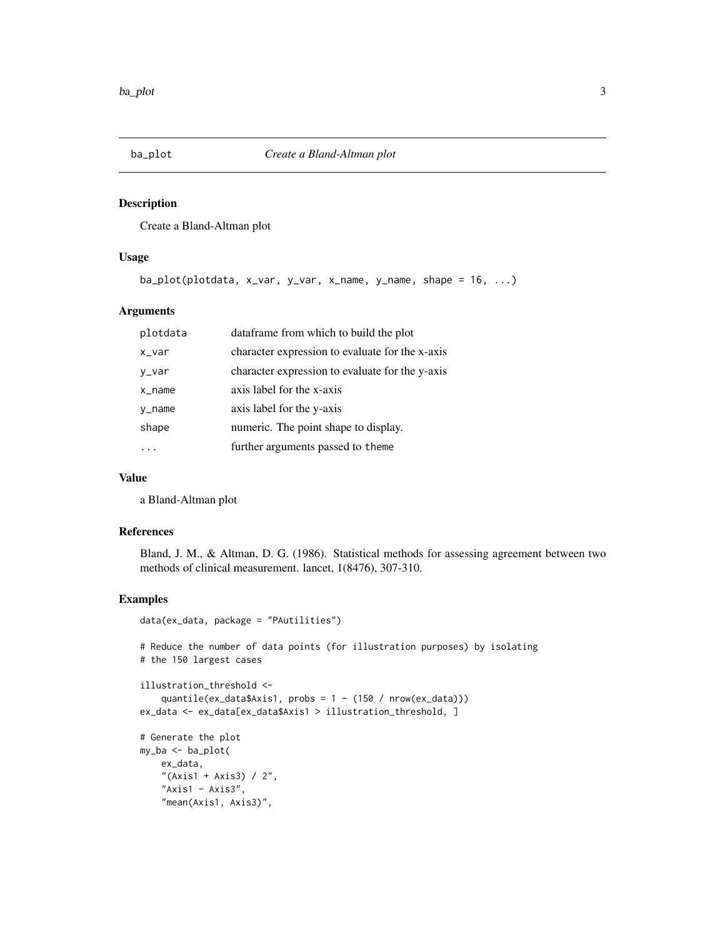<span id="page-2-1"></span><span id="page-2-0"></span>

Create a Bland-Altman plot

#### Usage

```
ba_plot(plotdata, x_var, y_var, x_name, y_name, shape = 16, ...)
```
#### Arguments

| plotdata  | dataframe from which to build the plot          |
|-----------|-------------------------------------------------|
| x_var     | character expression to evaluate for the x-axis |
| y_var     | character expression to evaluate for the y-axis |
| $x$ _name | axis label for the x-axis                       |
| y_name    | axis label for the y-axis                       |
| shape     | numeric. The point shape to display.            |
|           | further arguments passed to theme               |
|           |                                                 |

#### Value

a Bland-Altman plot

#### References

Bland, J. M., & Altman, D. G. (1986). Statistical methods for assessing agreement between two methods of clinical measurement. lancet, 1(8476), 307-310.

```
data(ex_data, package = "PAutilities")
```

```
# Reduce the number of data points (for illustration purposes) by isolating
# the 150 largest cases
```

```
illustration_threshold <-
   quantile(ex_data$Axis1, probs = 1 - (150 / nrow(ex_data)))
ex_data <- ex_data[ex_data$Axis1 > illustration_threshold, ]
```

```
# Generate the plot
my_ba <- ba_plot(
   ex_data,
    "(Axis1 + Axis3) / 2",
    "Axis1 - Axis3",
    "mean(Axis1, Axis3)",
```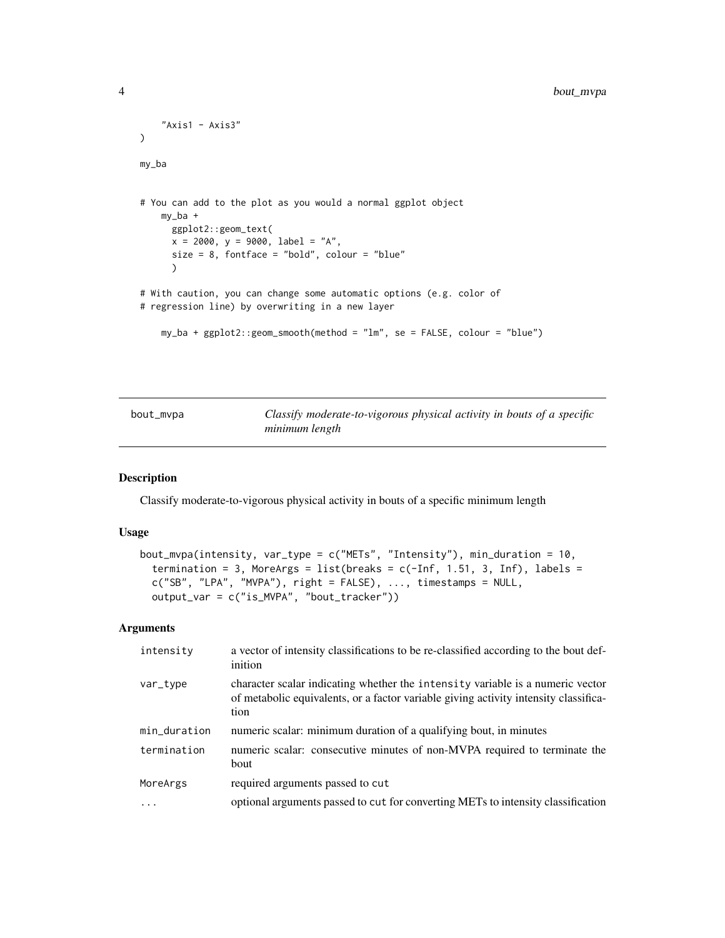```
"Axis1 - Axis3"
\mathcal{L}my_ba
# You can add to the plot as you would a normal ggplot object
    my_ba +
      ggplot2::geom_text(
      x = 2000, y = 9000, label = "A",
      size = 8, fontface = "bold", colour = "blue"
      )
# With caution, you can change some automatic options (e.g. color of
# regression line) by overwriting in a new layer
    my_ba + ggplot2::geom_smooth(method = "lm", se = FALSE, colour = "blue")
```
<span id="page-3-1"></span>

| bout_mvpa | Classify moderate-to-vigorous physical activity in bouts of a specific |
|-----------|------------------------------------------------------------------------|
|           | minimum length                                                         |

Classify moderate-to-vigorous physical activity in bouts of a specific minimum length

#### Usage

```
bout_mvpa(intensity, var_type = c("METs", "Intensity"), min_duration = 10,
  termination = 3, MoreArgs = list(breaks = c(-Inf, 1.51, 3, Inf), labels =
 c("SB", "LPA", "MVPA"), right = FALSE), ..., timestamps = NULL,output_var = c("is_MVPA", "bout_tracker"))
```
#### Arguments

| intensity    | a vector of intensity classifications to be re-classified according to the bout def-<br>inition                                                                                |
|--------------|--------------------------------------------------------------------------------------------------------------------------------------------------------------------------------|
| var_type     | character scalar indicating whether the intensity variable is a numeric vector<br>of metabolic equivalents, or a factor variable giving activity intensity classifica-<br>tion |
| min_duration | numeric scalar: minimum duration of a qualifying bout, in minutes                                                                                                              |
| termination  | numeric scalar: consecutive minutes of non-MVPA required to terminate the<br>bout                                                                                              |
| MoreArgs     | required arguments passed to cut                                                                                                                                               |
| .            | optional arguments passed to cut for converting METs to intensity classification                                                                                               |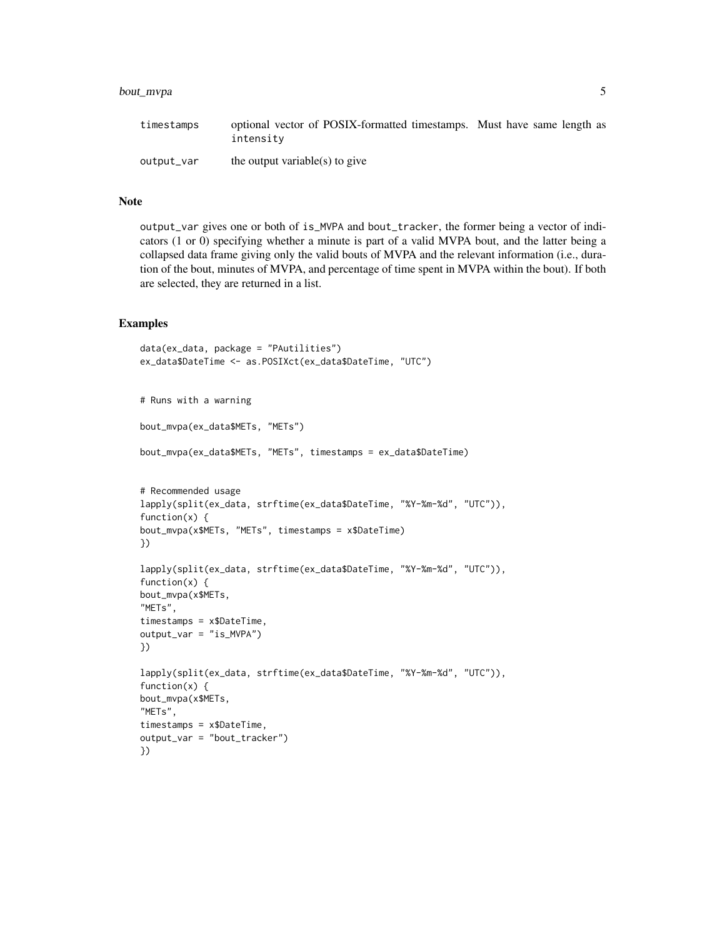#### bout\_mvpa 5

| timestamps | optional vector of POSIX-formatted timestamps. Must have same length as<br>intensity |  |
|------------|--------------------------------------------------------------------------------------|--|
| output_var | the output variable(s) to give                                                       |  |

#### Note

output\_var gives one or both of is\_MVPA and bout\_tracker, the former being a vector of indicators (1 or 0) specifying whether a minute is part of a valid MVPA bout, and the latter being a collapsed data frame giving only the valid bouts of MVPA and the relevant information (i.e., duration of the bout, minutes of MVPA, and percentage of time spent in MVPA within the bout). If both are selected, they are returned in a list.

```
data(ex_data, package = "PAutilities")
ex_data$DateTime <- as.POSIXct(ex_data$DateTime, "UTC")
# Runs with a warning
bout_mvpa(ex_data$METs, "METs")
bout_mvpa(ex_data$METs, "METs", timestamps = ex_data$DateTime)
# Recommended usage
lapply(split(ex_data, strftime(ex_data$DateTime, "%Y-%m-%d", "UTC")),
function(x) {
bout_mvpa(x$METs, "METs", timestamps = x$DateTime)
})
lapply(split(ex_data, strftime(ex_data$DateTime, "%Y-%m-%d", "UTC")),
function(x) {
bout_mvpa(x$METs,
"METs",
timestamps = x$DateTime,
output_var = "is_MVPA")
})
lapply(split(ex_data, strftime(ex_data$DateTime, "%Y-%m-%d", "UTC")),
function(x) {
bout_mvpa(x$METs,
"METs",
timestamps = x$DateTime,
output_var = "bout_tracker")
})
```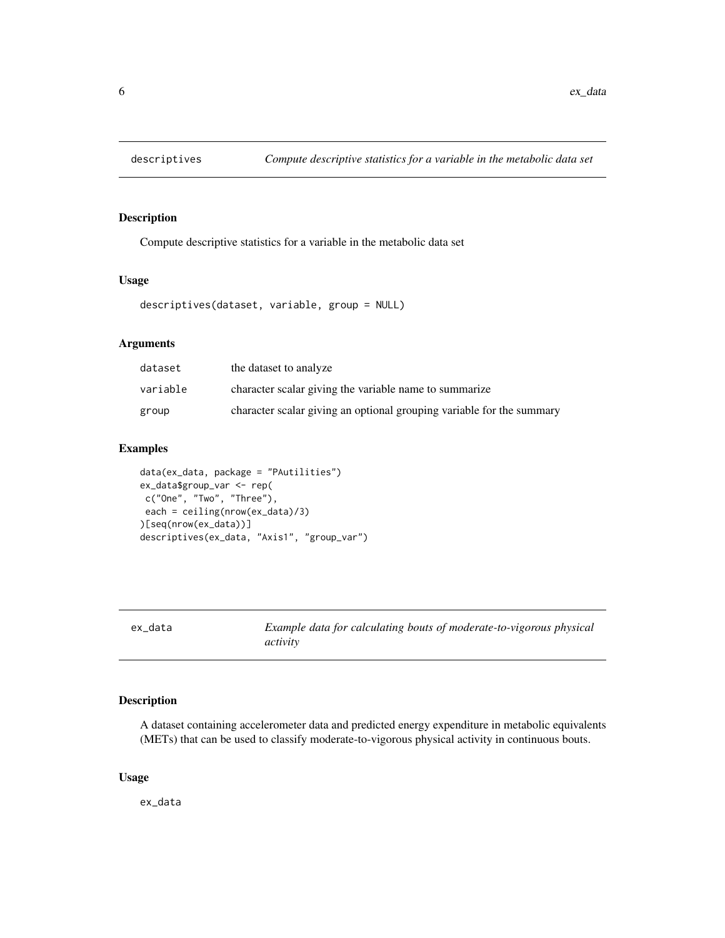<span id="page-5-1"></span><span id="page-5-0"></span>

Compute descriptive statistics for a variable in the metabolic data set

#### Usage

```
descriptives(dataset, variable, group = NULL)
```
#### Arguments

| dataset  | the dataset to analyze                                                |
|----------|-----------------------------------------------------------------------|
| variable | character scalar giving the variable name to summarize                |
| group    | character scalar giving an optional grouping variable for the summary |

#### Examples

```
data(ex_data, package = "PAutilities")
ex_data$group_var <- rep(
c("One", "Two", "Three"),
each = ceiling(nrow(ex_data)/3)
)[seq(nrow(ex_data))]
descriptives(ex_data, "Axis1", "group_var")
```
ex\_data *Example data for calculating bouts of moderate-to-vigorous physical activity*

#### Description

A dataset containing accelerometer data and predicted energy expenditure in metabolic equivalents (METs) that can be used to classify moderate-to-vigorous physical activity in continuous bouts.

#### Usage

ex\_data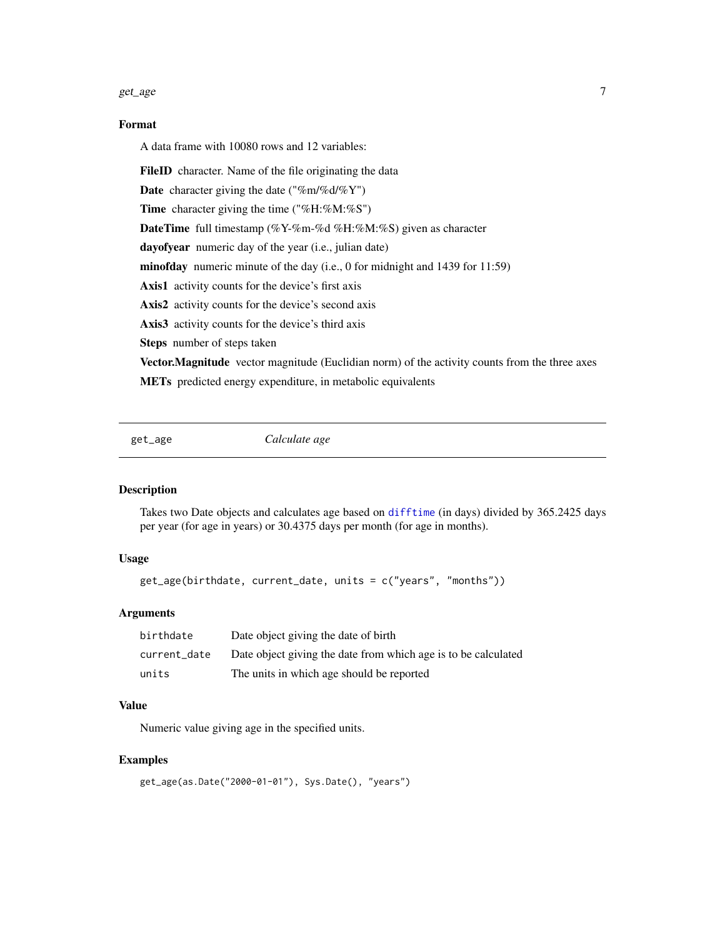#### <span id="page-6-0"></span>get\_age  $\Box$

#### Format

A data frame with 10080 rows and 12 variables:

FileID character. Name of the file originating the data

**Date** character giving the date (" $\%$ m/ $\%$ d/ $\%$ Y")

Time character giving the time ("%H:%M:%S")

DateTime full timestamp (%Y-%m-%d %H:%M:%S) given as character

dayofyear numeric day of the year (i.e., julian date)

minofday numeric minute of the day (i.e., 0 for midnight and 1439 for 11:59)

Axis1 activity counts for the device's first axis

Axis2 activity counts for the device's second axis

Axis3 activity counts for the device's third axis

Steps number of steps taken

Vector. Magnitude vector magnitude (Euclidian norm) of the activity counts from the three axes

METs predicted energy expenditure, in metabolic equivalents

<span id="page-6-1"></span>get\_age *Calculate age*

#### Description

Takes two Date objects and calculates age based on [difftime](#page-0-0) (in days) divided by 365.2425 days per year (for age in years) or 30.4375 days per month (for age in months).

#### Usage

get\_age(birthdate, current\_date, units = c("years", "months"))

#### Arguments

| birthdate    | Date object giving the date of birth                           |
|--------------|----------------------------------------------------------------|
| current date | Date object giving the date from which age is to be calculated |
| units        | The units in which age should be reported                      |

#### Value

Numeric value giving age in the specified units.

```
get_age(as.Date("2000-01-01"), Sys.Date(), "years")
```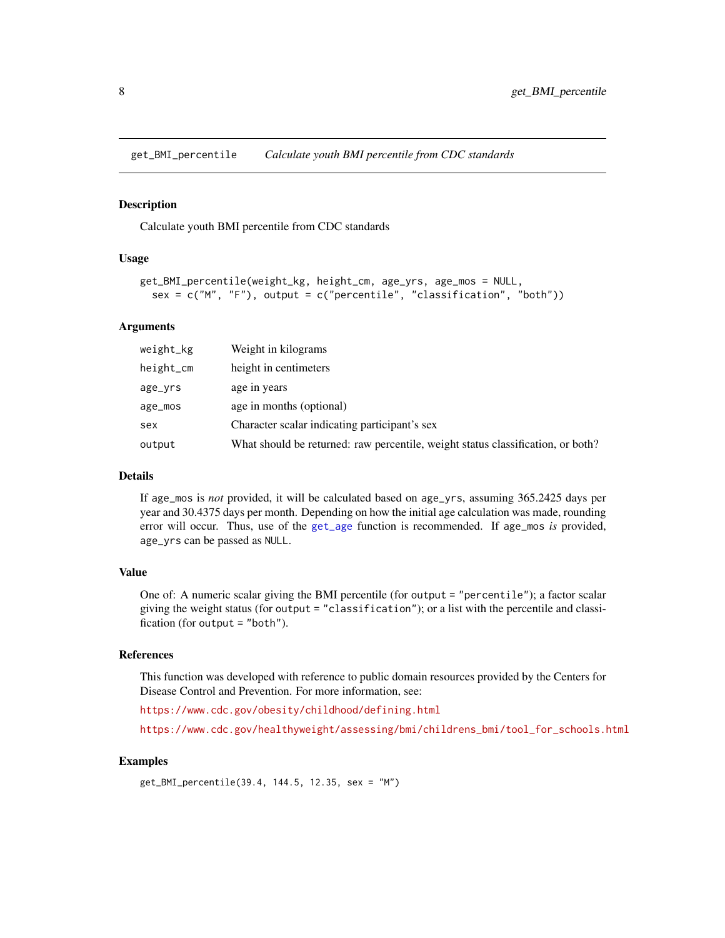<span id="page-7-1"></span><span id="page-7-0"></span>get\_BMI\_percentile *Calculate youth BMI percentile from CDC standards*

#### Description

Calculate youth BMI percentile from CDC standards

#### Usage

```
get_BMI_percentile(weight_kg, height_cm, age_yrs, age_mos = NULL,
  sex = c("M", "F"), output = c("percentile", "classification", "both")
```
#### Arguments

| weight_kg | Weight in kilograms                                                             |
|-----------|---------------------------------------------------------------------------------|
| height_cm | height in centimeters                                                           |
| age_yrs   | age in years                                                                    |
| $age_mos$ | age in months (optional)                                                        |
| sex       | Character scalar indicating participant's sex                                   |
| output    | What should be returned: raw percentile, weight status classification, or both? |

#### Details

If age\_mos is *not* provided, it will be calculated based on age\_yrs, assuming 365.2425 days per year and 30.4375 days per month. Depending on how the initial age calculation was made, rounding error will occur. Thus, use of the [get\\_age](#page-6-1) function is recommended. If age\_mos *is* provided, age\_yrs can be passed as NULL.

#### Value

One of: A numeric scalar giving the BMI percentile (for output = "percentile"); a factor scalar giving the weight status (for output = "classification"); or a list with the percentile and classification (for output = "both").

#### References

This function was developed with reference to public domain resources provided by the Centers for Disease Control and Prevention. For more information, see:

<https://www.cdc.gov/obesity/childhood/defining.html>

[https://www.cdc.gov/healthyweight/assessing/bmi/childrens\\_bmi/tool\\_for\\_schools.html](https://www.cdc.gov/healthyweight/assessing/bmi/childrens_bmi/tool_for_schools.html)

#### Examples

get\_BMI\_percentile(39.4, 144.5, 12.35, sex = "M")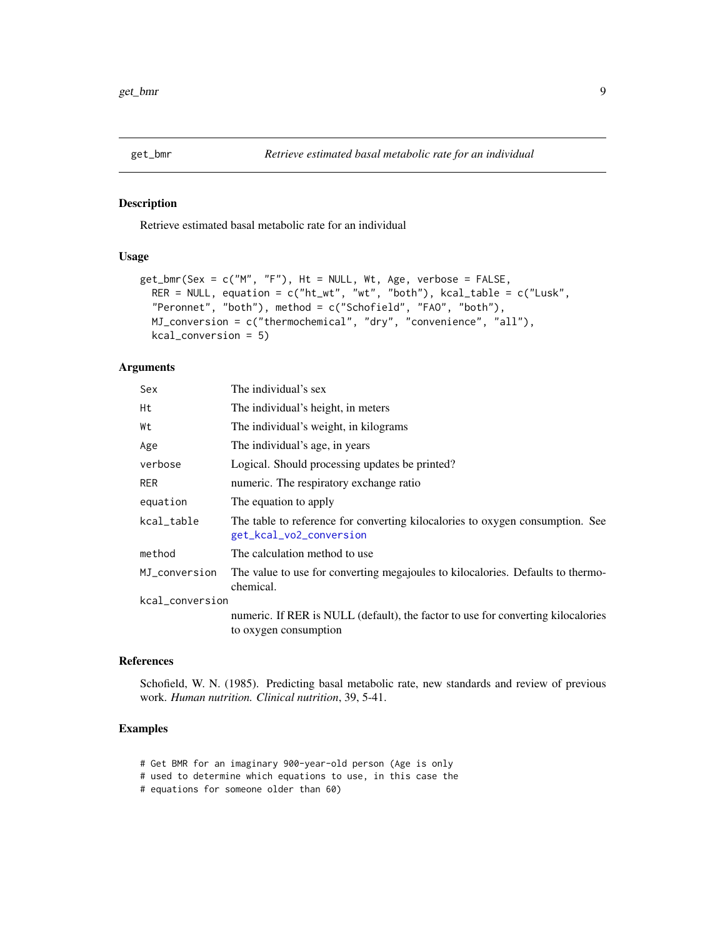<span id="page-8-1"></span><span id="page-8-0"></span>

Retrieve estimated basal metabolic rate for an individual

#### Usage

```
get_bmr(Sex = c("M", "F"), Ht = NULL, Wt, Age, verbose = FALSE,
 RER = NULL, equation = c("ht_wt", "wt", "both"), kcal_table = c("Lusk","Peronnet", "both"), method = c("Schofield", "FAO", "both"),
 MJ_conversion = c("thermochemical", "dry", "convenience", "all"),
  kcal_conversion = 5)
```
#### Arguments

| Sex             | The individual's sex                                                                                     |
|-----------------|----------------------------------------------------------------------------------------------------------|
| Нt              | The individual's height, in meters                                                                       |
| Wt              | The individual's weight, in kilograms                                                                    |
| Age             | The individual's age, in years                                                                           |
| verbose         | Logical. Should processing updates be printed?                                                           |
| RER             | numeric. The respiratory exchange ratio                                                                  |
| equation        | The equation to apply                                                                                    |
| kcal_table      | The table to reference for converting kilocalories to oxygen consumption. See<br>get_kcal_vo2_conversion |
| method          | The calculation method to use                                                                            |
| MJ_conversion   | The value to use for converting megajoules to kilocalories. Defaults to thermo-<br>chemical.             |
| kcal_conversion |                                                                                                          |
|                 | numeric. If RER is NULL (default), the factor to use for converting kilocalories                         |
|                 | to oxygen consumption                                                                                    |

#### References

Schofield, W. N. (1985). Predicting basal metabolic rate, new standards and review of previous work. *Human nutrition. Clinical nutrition*, 39, 5-41.

- # Get BMR for an imaginary 900-year-old person (Age is only
- # used to determine which equations to use, in this case the
- # equations for someone older than 60)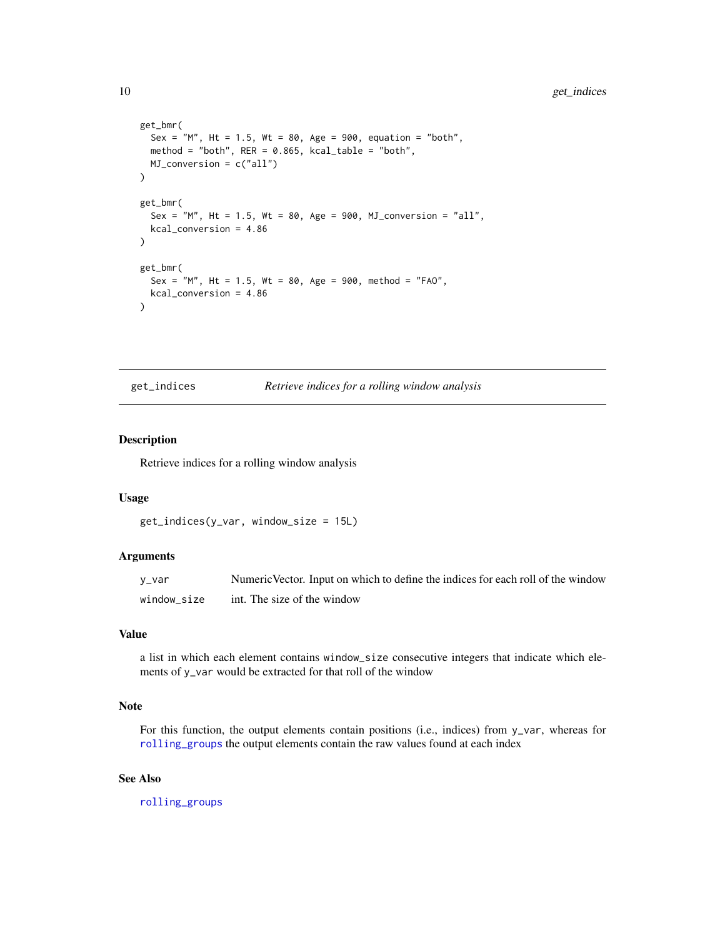```
get_bmr(
  Sex = m, Ht = 1.5, Wt = 80, Age = 900, equation = "both",
 method = "both", RER = 0.865, kcal_table = "both",MJ_conversion = c("all")
)
get_bmr(
  Sex = 'M'', Ht = 1.5, Wt = 80, Age = 900, MJ_conversion = ''all'',
  kcal_conversion = 4.86
\lambdaget_bmr(
  Sex = "M", Ht = 1.5, Wt = 80, Age = 900, method = "FAO",
  kcal_conversion = 4.86
\mathcal{L}
```
<span id="page-9-1"></span>get\_indices *Retrieve indices for a rolling window analysis*

#### Description

Retrieve indices for a rolling window analysis

#### Usage

```
get_indices(y_var, window_size = 15L)
```
#### Arguments

| v_var       | Numeric Vector. Input on which to define the indices for each roll of the window |
|-------------|----------------------------------------------------------------------------------|
| window size | int. The size of the window                                                      |

#### Value

a list in which each element contains window\_size consecutive integers that indicate which elements of y\_var would be extracted for that roll of the window

#### Note

For this function, the output elements contain positions (i.e., indices) from y\_var, whereas for [rolling\\_groups](#page-20-1) the output elements contain the raw values found at each index

#### See Also

[rolling\\_groups](#page-20-1)

<span id="page-9-0"></span>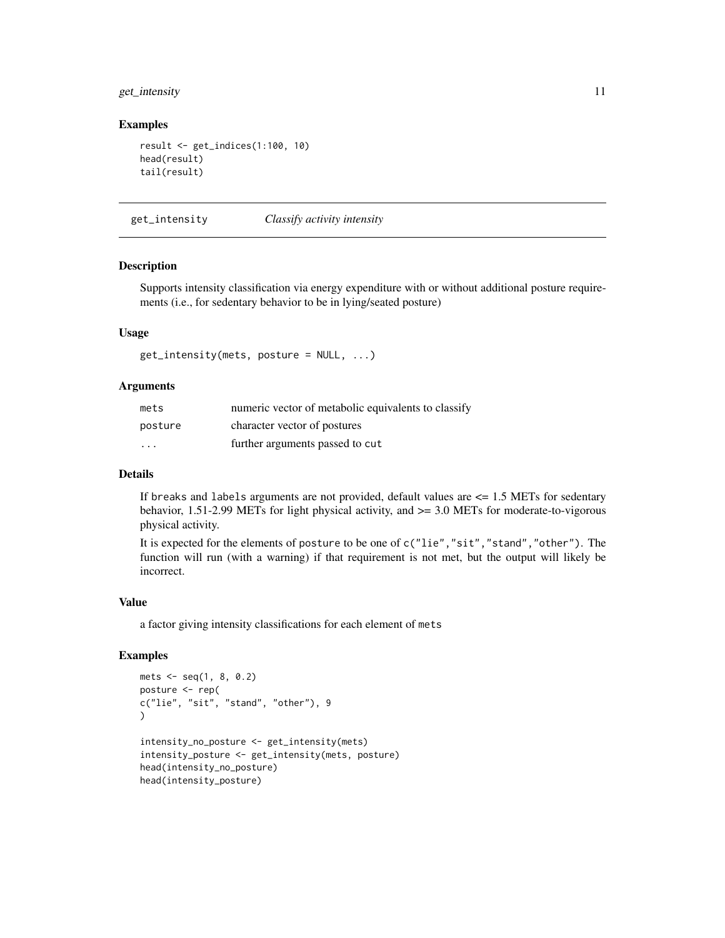#### <span id="page-10-0"></span>get\_intensity 11

#### Examples

```
result <- get_indices(1:100, 10)
head(result)
tail(result)
```
get\_intensity *Classify activity intensity*

#### Description

Supports intensity classification via energy expenditure with or without additional posture requirements (i.e., for sedentary behavior to be in lying/seated posture)

#### Usage

```
get_intensity(mets, posture = NULL, ...)
```
#### Arguments

| mets                    | numeric vector of metabolic equivalents to classify |
|-------------------------|-----------------------------------------------------|
| posture                 | character vector of postures                        |
| $\cdot$ $\cdot$ $\cdot$ | further arguments passed to cut                     |

#### Details

If breaks and labels arguments are not provided, default values are  $\leq$  1.5 METs for sedentary behavior, 1.51-2.99 METs for light physical activity, and >= 3.0 METs for moderate-to-vigorous physical activity.

It is expected for the elements of posture to be one of c("lie","sit","stand","other"). The function will run (with a warning) if that requirement is not met, but the output will likely be incorrect.

#### Value

a factor giving intensity classifications for each element of mets

```
mets <- seq(1, 8, 0.2)
posture <- rep(
c("lie", "sit", "stand", "other"), 9
\lambdaintensity_no_posture <- get_intensity(mets)
intensity_posture <- get_intensity(mets, posture)
head(intensity_no_posture)
head(intensity_posture)
```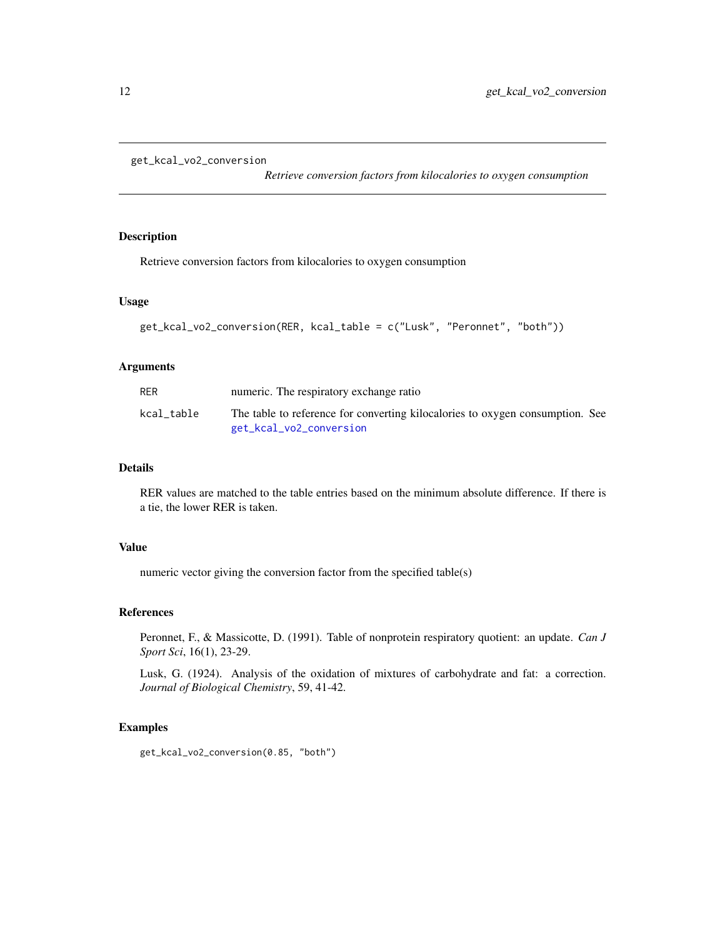```
get_kcal_vo2_conversion
```
*Retrieve conversion factors from kilocalories to oxygen consumption*

#### Description

Retrieve conversion factors from kilocalories to oxygen consumption

#### Usage

```
get_kcal_vo2_conversion(RER, kcal_table = c("Lusk", "Peronnet", "both"))
```
#### Arguments

| <b>RER</b> | numeric. The respiratory exchange ratio                                                                  |  |
|------------|----------------------------------------------------------------------------------------------------------|--|
| kcal table | The table to reference for converting kilocalories to oxygen consumption. See<br>get_kcal_vo2_conversion |  |

#### Details

RER values are matched to the table entries based on the minimum absolute difference. If there is a tie, the lower RER is taken.

#### Value

numeric vector giving the conversion factor from the specified table(s)

#### References

Peronnet, F., & Massicotte, D. (1991). Table of nonprotein respiratory quotient: an update. *Can J Sport Sci*, 16(1), 23-29.

Lusk, G. (1924). Analysis of the oxidation of mixtures of carbohydrate and fat: a correction. *Journal of Biological Chemistry*, 59, 41-42.

#### Examples

get\_kcal\_vo2\_conversion(0.85, "both")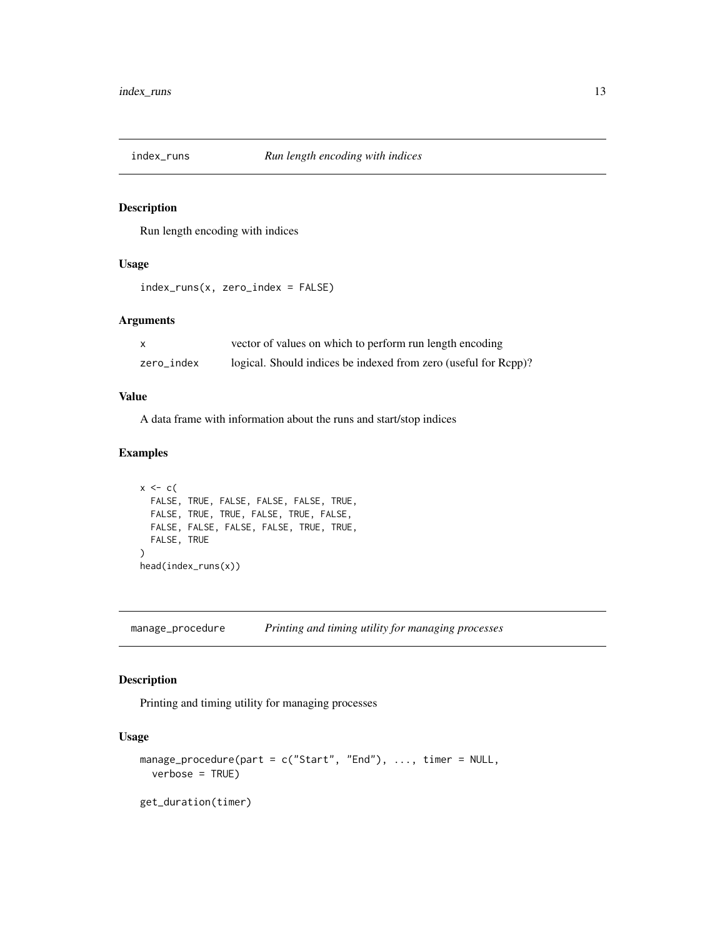<span id="page-12-0"></span>

Run length encoding with indices

#### Usage

```
index_runs(x, zero_index = FALSE)
```
#### Arguments

|            | vector of values on which to perform run length encoding        |
|------------|-----------------------------------------------------------------|
| zero index | logical. Should indices be indexed from zero (useful for Rcpp)? |

#### Value

A data frame with information about the runs and start/stop indices

#### Examples

```
x \leftarrow cFALSE, TRUE, FALSE, FALSE, FALSE, TRUE,
  FALSE, TRUE, TRUE, FALSE, TRUE, FALSE,
  FALSE, FALSE, FALSE, FALSE, TRUE, TRUE,
  FALSE, TRUE
\mathcal{L}head(index_runs(x))
```
manage\_procedure *Printing and timing utility for managing processes*

#### Description

Printing and timing utility for managing processes

#### Usage

```
manage_procedure(part = c("Start", "End"), ..., timer = NULL,
  verbose = TRUE)
get_duration(timer)
```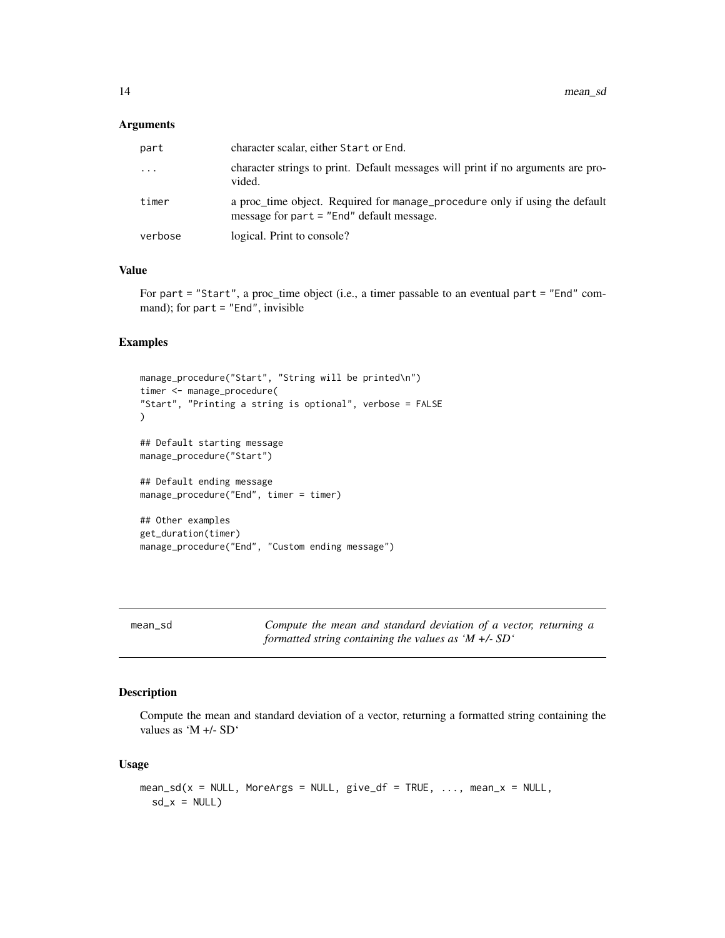#### <span id="page-13-0"></span>Arguments

| part    | character scalar, either Start or End.                                                                                     |
|---------|----------------------------------------------------------------------------------------------------------------------------|
| .       | character strings to print. Default messages will print if no arguments are pro-<br>vided.                                 |
| timer   | a proc_time object. Required for manage_procedure only if using the default<br>message for part $=$ "End" default message. |
| verbose | logical. Print to console?                                                                                                 |
|         |                                                                                                                            |

#### Value

For part = "Start", a proc\_time object (i.e., a timer passable to an eventual part = "End" command); for part = "End", invisible

#### Examples

```
manage_procedure("Start", "String will be printed\n")
timer <- manage_procedure(
"Start", "Printing a string is optional", verbose = FALSE
\mathcal{L}## Default starting message
manage_procedure("Start")
## Default ending message
manage_procedure("End", timer = timer)
## Other examples
get_duration(timer)
manage_procedure("End", "Custom ending message")
```
mean\_sd *Compute the mean and standard deviation of a vector, returning a formatted string containing the values as 'M +/- SD'*

#### Description

Compute the mean and standard deviation of a vector, returning a formatted string containing the values as 'M +/- SD'

#### Usage

```
mean_s d(x = NULL, \text{MoreArgs} = NULL, \text{give}_df = TRUE, ..., \text{mean}_x = NULL,sd_x = NULL
```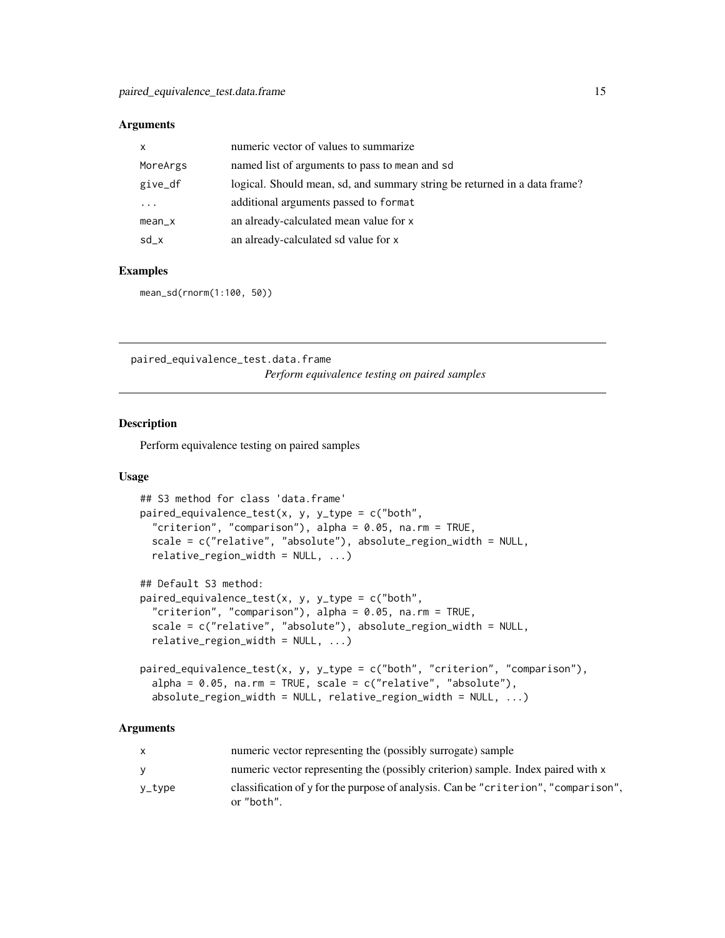#### <span id="page-14-0"></span>Arguments

| x        | numeric vector of values to summarize                                     |
|----------|---------------------------------------------------------------------------|
| MoreArgs | named list of arguments to pass to mean and sd                            |
| give_df  | logical. Should mean, sd, and summary string be returned in a data frame? |
| .        | additional arguments passed to format                                     |
| $mean_x$ | an already-calculated mean value for x                                    |
| sd_x     | an already-calculated sd value for x                                      |

#### Examples

mean\_sd(rnorm(1:100, 50))

paired\_equivalence\_test.data.frame *Perform equivalence testing on paired samples*

#### Description

Perform equivalence testing on paired samples

#### Usage

```
## S3 method for class 'data.frame'
paired_equivalence_test(x, y, y_type = c("both","criterion", "comparison"), alpha = 0.05, na.rm = TRUE,
  scale = c("relative", "absolute"), absolute_region_width = NULL,
  relative\_region\_width = NULL, ...## Default S3 method:
paired_equivalence_test(x, y, y_type = c("both",
```

```
"criterion", "comparison"), alpha = 0.05, na.rm = TRUE,
scale = c("relative", "absolute"), absolute_region_width = NULL,
relative\_region\_width = NULL, ...)
```

```
paired_equivalence_test(x, y, y_type = c("both", "criterion", "comparison"),
  alpha = 0.05, na.rm = TRUE, scale = c("relative", "absolute"),absolute_region_width = NULL, relative_region_width = NULL, ...)
```
#### Arguments

|        | numeric vector representing the (possibly surrogate) sample                                      |
|--------|--------------------------------------------------------------------------------------------------|
|        | numeric vector representing the (possibly criterion) sample. Index paired with x                 |
| y_type | classification of y for the purpose of analysis. Can be "criterion", "comparison",<br>or "both". |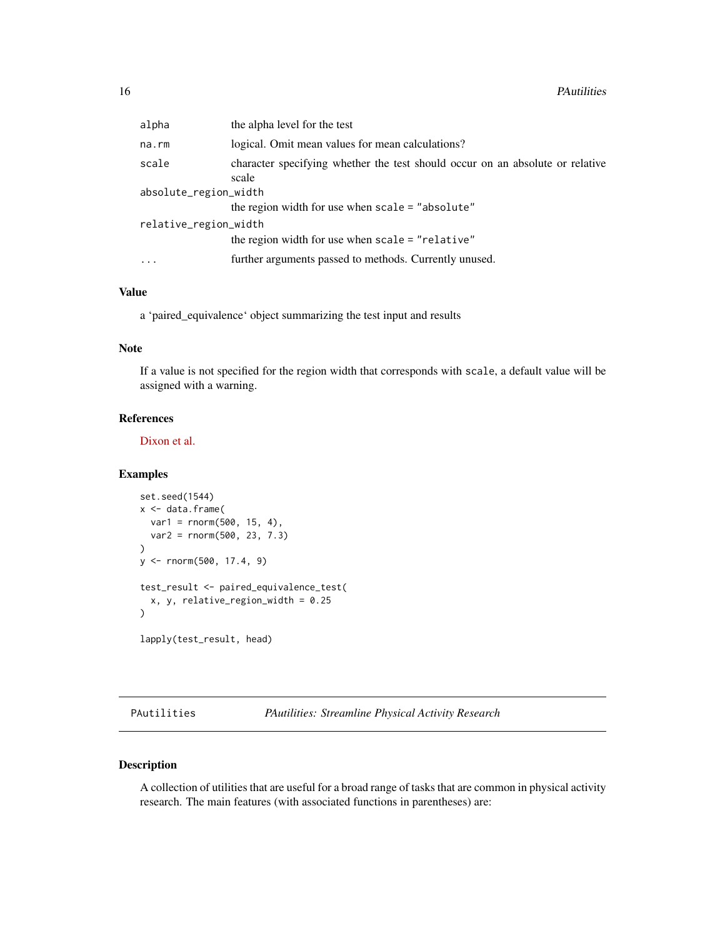<span id="page-15-0"></span>

| alpha                 | the alpha level for the test                                                           |  |
|-----------------------|----------------------------------------------------------------------------------------|--|
| na.rm                 | logical. Omit mean values for mean calculations?                                       |  |
| scale                 | character specifying whether the test should occur on an absolute or relative<br>scale |  |
| absolute_region_width |                                                                                        |  |
|                       | the region width for use when scale = "absolute"                                       |  |
| relative_region_width |                                                                                        |  |
|                       | the region width for use when scale = "relative"                                       |  |
| $\cdots$              | further arguments passed to methods. Currently unused.                                 |  |
|                       |                                                                                        |  |

#### Value

a 'paired\_equivalence' object summarizing the test input and results

#### Note

If a value is not specified for the region width that corresponds with scale, a default value will be assigned with a warning.

#### References

[Dixon et al.](https://www.ncbi.nlm.nih.gov/pubmed/29135817)

#### Examples

```
set.seed(1544)
x <- data.frame(
  var1 = rnorm(500, 15, 4),
  var2 = rnorm(500, 23, 7.3)
\lambday <- rnorm(500, 17.4, 9)
test_result <- paired_equivalence_test(
  x, y, relative_region_width = 0.25
\mathcal{L}lapply(test_result, head)
```
PAutilities *PAutilities: Streamline Physical Activity Research*

#### Description

A collection of utilities that are useful for a broad range of tasks that are common in physical activity research. The main features (with associated functions in parentheses) are: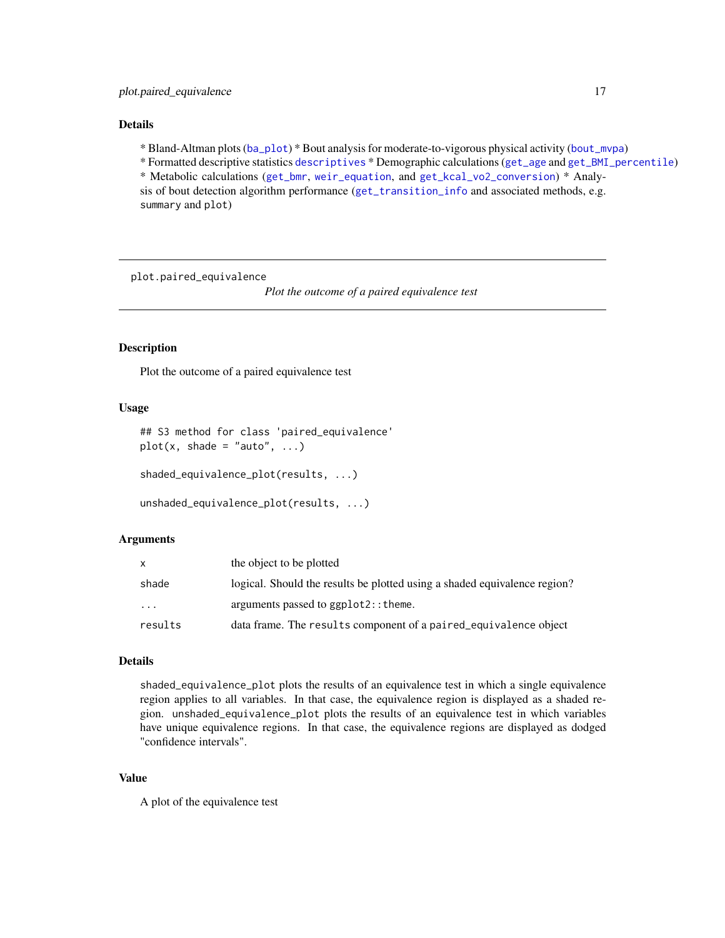#### <span id="page-16-0"></span>Details

\* Bland-Altman plots ([ba\\_plot](#page-2-1)) \* Bout analysis for moderate-to-vigorous physical activity ([bout\\_mvpa](#page-3-1))

\* Formatted descriptive statistics [descriptives](#page-5-1) \* Demographic calculations ([get\\_age](#page-6-1) and [get\\_BMI\\_percentile](#page-7-1))

\* Metabolic calculations ([get\\_bmr](#page-8-1), [weir\\_equation](#page-24-1), and [get\\_kcal\\_vo2\\_conversion](#page-11-1)) \* Analysis of bout detection algorithm performance ([get\\_transition\\_info](#page-0-0) and associated methods, e.g. summary and plot)

plot.paired\_equivalence

*Plot the outcome of a paired equivalence test*

#### Description

Plot the outcome of a paired equivalence test

#### Usage

```
## S3 method for class 'paired_equivalence'
plot(x, shade = "auto", ...)shaded_equivalence_plot(results, ...)
```

```
unshaded_equivalence_plot(results, ...)
```
#### Arguments

|           | the object to be plotted                                                  |
|-----------|---------------------------------------------------------------------------|
| shade     | logical. Should the results be plotted using a shaded equivalence region? |
| $\ddotsc$ | arguments passed to ggplot2:: theme.                                      |
| results   | data frame. The results component of a paired_equivalence object          |

#### Details

shaded\_equivalence\_plot plots the results of an equivalence test in which a single equivalence region applies to all variables. In that case, the equivalence region is displayed as a shaded region. unshaded\_equivalence\_plot plots the results of an equivalence test in which variables have unique equivalence regions. In that case, the equivalence regions are displayed as dodged "confidence intervals".

#### Value

A plot of the equivalence test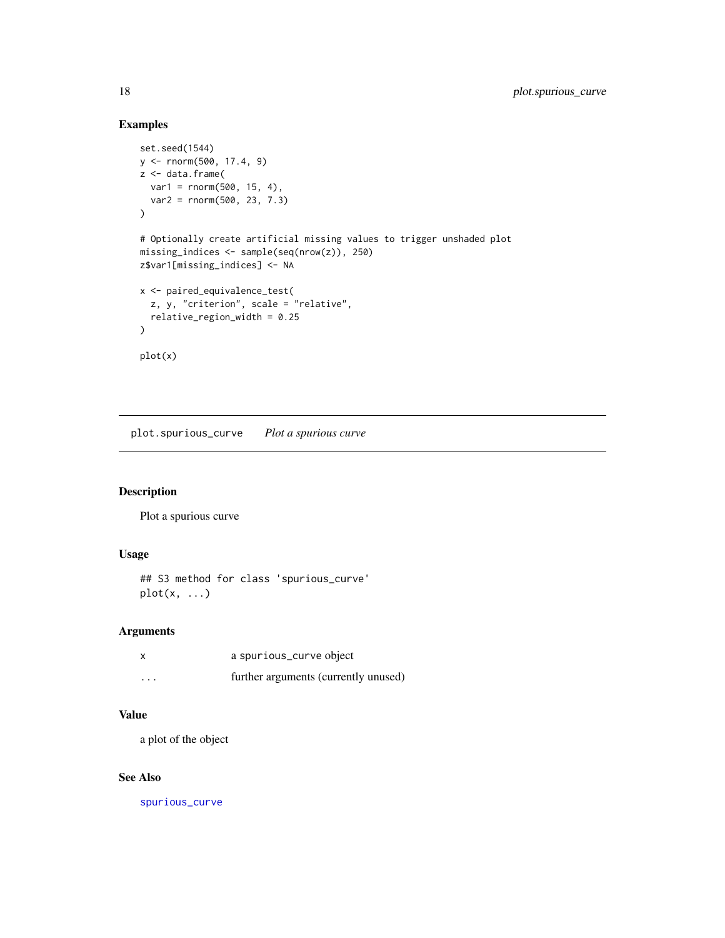#### Examples

```
set.seed(1544)
y <- rnorm(500, 17.4, 9)
z <- data.frame(
 var1 = rnorm(500, 15, 4),
  var2 = rnorm(500, 23, 7.3)
\mathcal{L}# Optionally create artificial missing values to trigger unshaded plot
missing_indices <- sample(seq(nrow(z)), 250)
z$var1[missing_indices] <- NA
x <- paired_equivalence_test(
  z, y, "criterion", scale = "relative",
  relative_region_width = 0.25
\mathcal{L}plot(x)
```
plot.spurious\_curve *Plot a spurious curve*

#### Description

Plot a spurious curve

#### Usage

```
## S3 method for class 'spurious_curve'
plot(x, \ldots)
```
#### Arguments

| x        | a spurious_curve object              |
|----------|--------------------------------------|
| $\cdots$ | further arguments (currently unused) |

#### Value

a plot of the object

#### See Also

[spurious\\_curve](#page-20-2)

<span id="page-17-0"></span>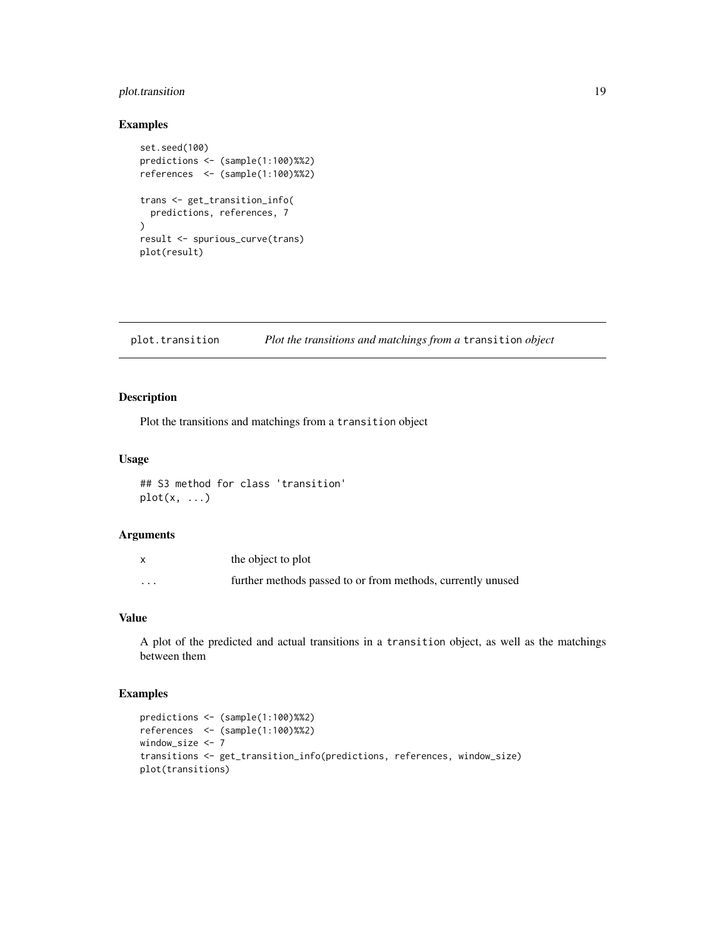#### <span id="page-18-0"></span>plot.transition 19

#### Examples

```
set.seed(100)
predictions <- (sample(1:100)%%2)
references <- (sample(1:100)%%2)
trans <- get_transition_info(
  predictions, references, 7
\mathcal{L}result <- spurious_curve(trans)
plot(result)
```
plot.transition *Plot the transitions and matchings from a* transition *object*

#### Description

Plot the transitions and matchings from a transition object

#### Usage

## S3 method for class 'transition' plot(x, ...)

#### Arguments

|                         | the object to plot                                          |
|-------------------------|-------------------------------------------------------------|
| $\cdot$ $\cdot$ $\cdot$ | further methods passed to or from methods, currently unused |

#### Value

A plot of the predicted and actual transitions in a transition object, as well as the matchings between them

```
predictions <- (sample(1:100)%%2)
references <- (sample(1:100)%%2)
window_size <- 7
transitions <- get_transition_info(predictions, references, window_size)
plot(transitions)
```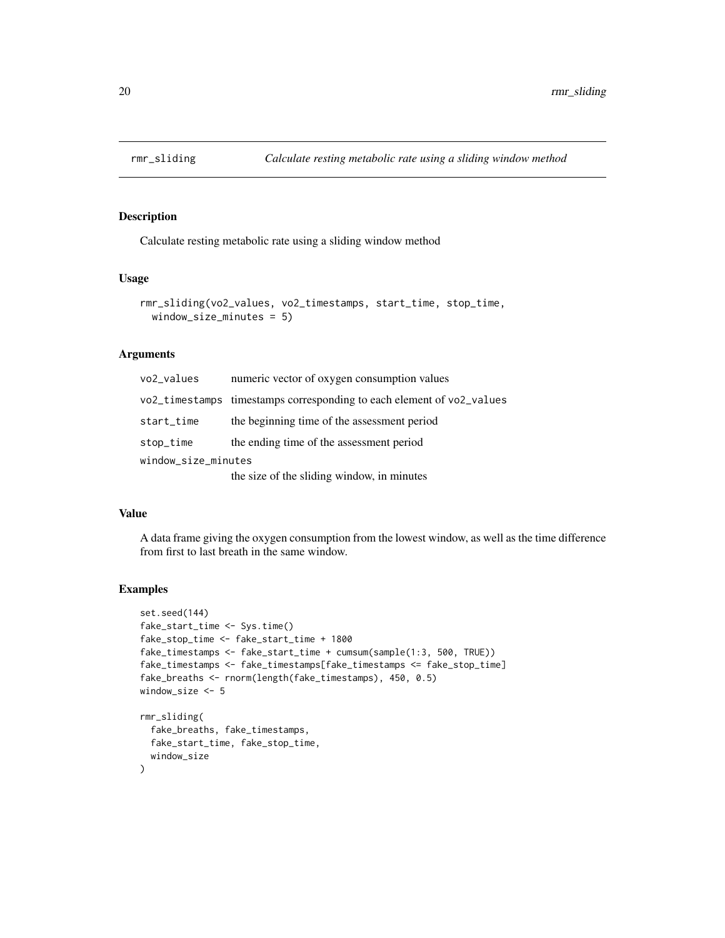<span id="page-19-0"></span>

Calculate resting metabolic rate using a sliding window method

#### Usage

```
rmr_sliding(vo2_values, vo2_timestamps, start_time, stop_time,
 window_size_minutes = 5)
```
#### Arguments

| vo2_values          | numeric vector of oxygen consumption values                           |  |
|---------------------|-----------------------------------------------------------------------|--|
|                     | vo2_timestamps timestamps corresponding to each element of vo2_values |  |
| start_time          | the beginning time of the assessment period                           |  |
| stop_time           | the ending time of the assessment period                              |  |
| window_size_minutes |                                                                       |  |
|                     | the size of the sliding window, in minutes                            |  |

#### Value

A data frame giving the oxygen consumption from the lowest window, as well as the time difference from first to last breath in the same window.

#### Examples

```
set.seed(144)
fake_start_time <- Sys.time()
fake_stop_time <- fake_start_time + 1800
fake_timestamps <- fake_start_time + cumsum(sample(1:3, 500, TRUE))
fake_timestamps <- fake_timestamps[fake_timestamps <= fake_stop_time]
fake_breaths <- rnorm(length(fake_timestamps), 450, 0.5)
window_size <- 5
rmr_sliding(
  fake_breaths, fake_timestamps,
  fake_start_time, fake_stop_time,
  window_size
```
 $\mathcal{L}$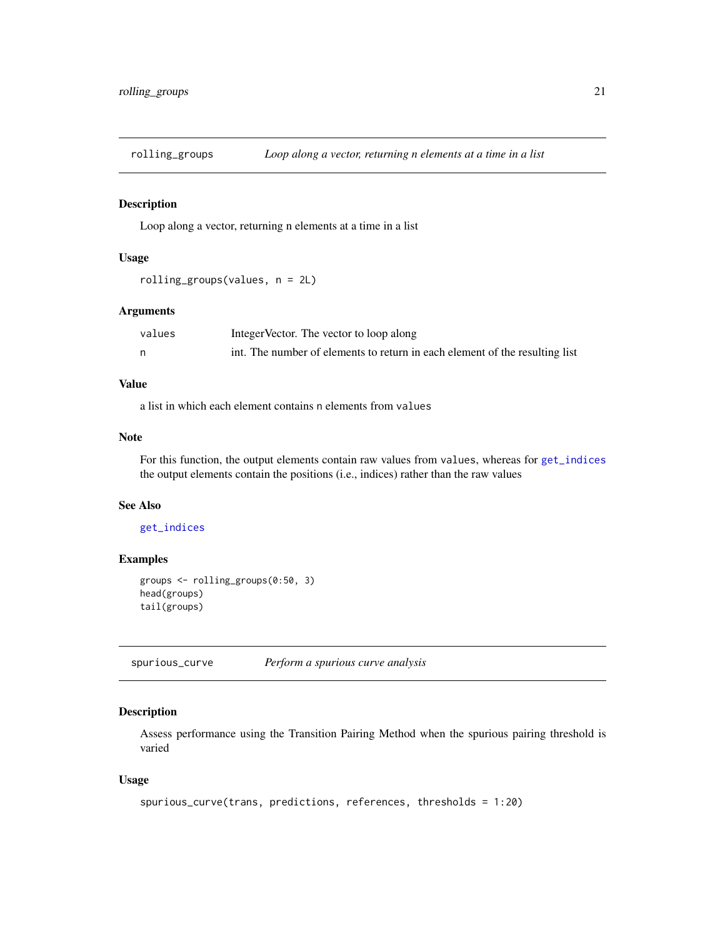<span id="page-20-1"></span><span id="page-20-0"></span>

Loop along a vector, returning n elements at a time in a list

#### Usage

```
rolling_groups(values, n = 2L)
```
#### Arguments

| values | Integer Vector. The vector to loop along                                    |
|--------|-----------------------------------------------------------------------------|
|        | int. The number of elements to return in each element of the resulting list |

#### Value

a list in which each element contains n elements from values

#### Note

For this function, the output elements contain raw values from values, whereas for [get\\_indices](#page-9-1) the output elements contain the positions (i.e., indices) rather than the raw values

#### See Also

#### [get\\_indices](#page-9-1)

#### Examples

```
groups <- rolling_groups(0:50, 3)
head(groups)
tail(groups)
```
<span id="page-20-2"></span>spurious\_curve *Perform a spurious curve analysis*

#### Description

Assess performance using the Transition Pairing Method when the spurious pairing threshold is varied

#### Usage

```
spurious_curve(trans, predictions, references, thresholds = 1:20)
```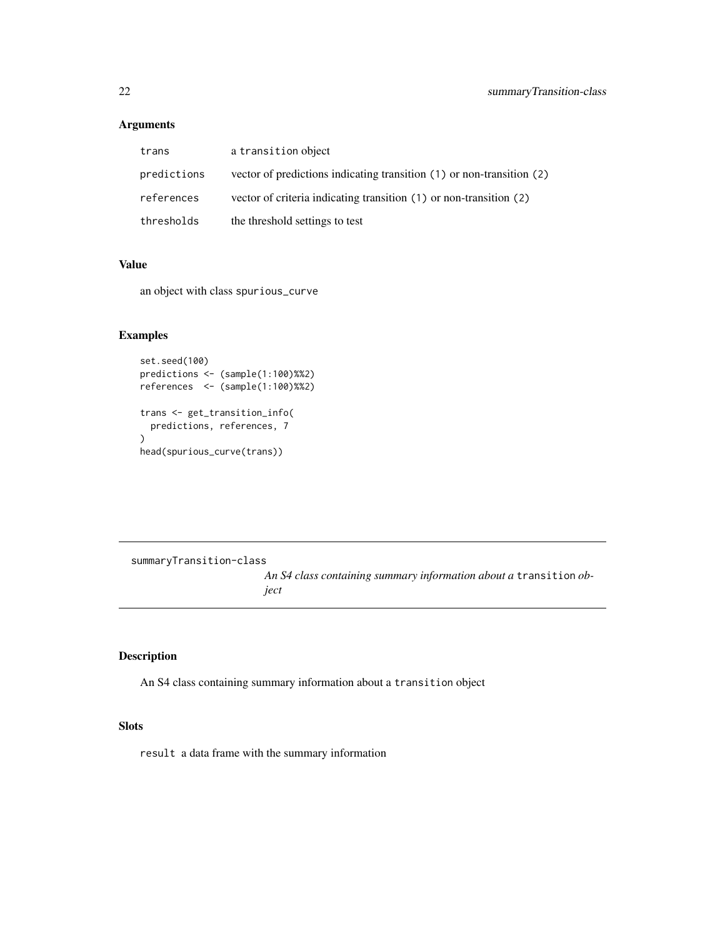#### Arguments

| trans       | a transition object                                                   |
|-------------|-----------------------------------------------------------------------|
| predictions | vector of predictions indicating transition (1) or non-transition (2) |
| references  | vector of criteria indicating transition (1) or non-transition (2)    |
| thresholds  | the threshold settings to test                                        |

#### Value

an object with class spurious\_curve

#### Examples

```
set.seed(100)
predictions <- (sample(1:100)%%2)
references <- (sample(1:100)%%2)
trans <- get_transition_info(
  predictions, references, 7
)
head(spurious_curve(trans))
```
summaryTransition-class

*An S4 class containing summary information about a* transition *object*

#### Description

An S4 class containing summary information about a transition object

#### **Slots**

result a data frame with the summary information

<span id="page-21-0"></span>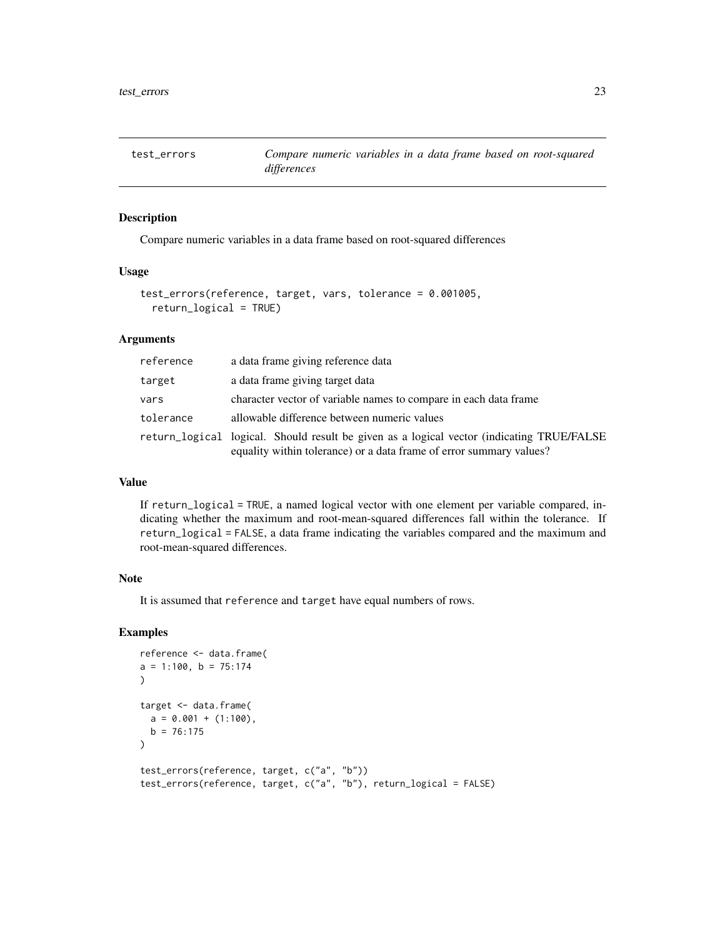<span id="page-22-0"></span>

Compare numeric variables in a data frame based on root-squared differences

#### Usage

```
test_errors(reference, target, vars, tolerance = 0.001005,
  return_logical = TRUE)
```
#### Arguments

| reference | a data frame giving reference data                                                                                                                               |
|-----------|------------------------------------------------------------------------------------------------------------------------------------------------------------------|
| target    | a data frame giving target data                                                                                                                                  |
| vars      | character vector of variable names to compare in each data frame                                                                                                 |
| tolerance | allowable difference between numeric values                                                                                                                      |
|           | return_logical logical. Should result be given as a logical vector (indicating TRUE/FALSE<br>equality within tolerance) or a data frame of error summary values? |

#### Value

If return\_logical = TRUE, a named logical vector with one element per variable compared, indicating whether the maximum and root-mean-squared differences fall within the tolerance. If return\_logical = FALSE, a data frame indicating the variables compared and the maximum and root-mean-squared differences.

#### Note

It is assumed that reference and target have equal numbers of rows.

```
reference <- data.frame(
a = 1:100, b = 75:174\mathcal{L}target <- data.frame(
  a = 0.001 + (1:100),
  b = 76:175)
test_errors(reference, target, c("a", "b"))
test_errors(reference, target, c("a", "b"), return_logical = FALSE)
```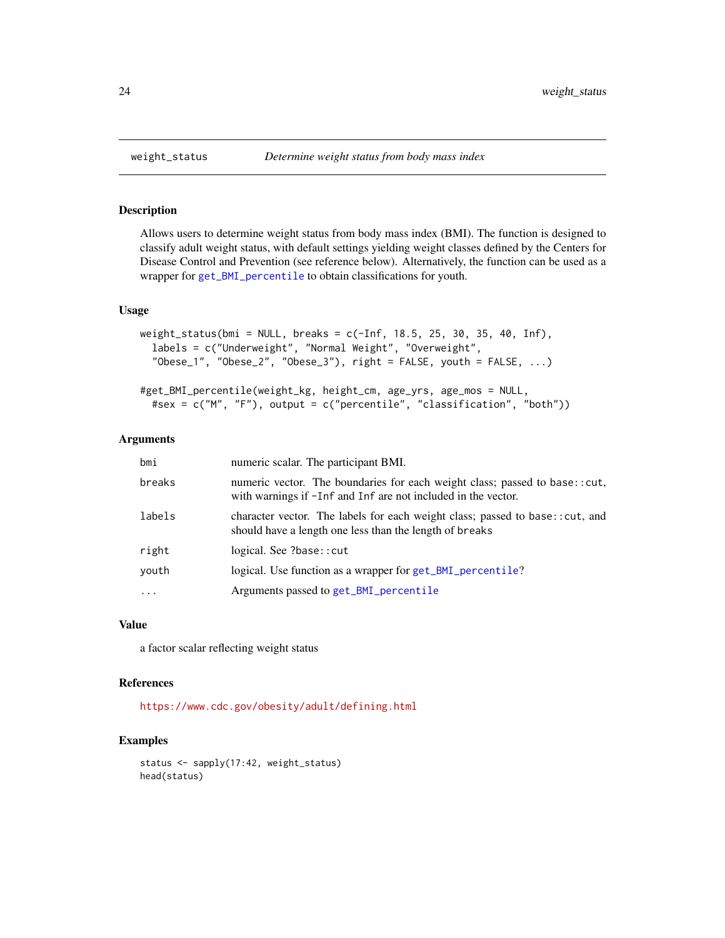Allows users to determine weight status from body mass index (BMI). The function is designed to classify adult weight status, with default settings yielding weight classes defined by the Centers for Disease Control and Prevention (see reference below). Alternatively, the function can be used as a wrapper for [get\\_BMI\\_percentile](#page-7-1) to obtain classifications for youth.

#### Usage

```
weight_status(bmi = NULL, breaks = c(-Inf, 18.5, 25, 30, 35, 40, Inf),
  labels = c("Underweight", "Normal Weight", "Overweight",
  "Obese_1", "Obese_2", "Obese_3"), right = FALSE, youth = FALSE, \dots)
```

```
#get_BMI_percentile(weight_kg, height_cm, age_yrs, age_mos = NULL,
  #sex = c("M", "F"), output = c("percentile", "classification", "both"))
```
#### Arguments

| bmi       | numeric scalar. The participant BMI.                                                                                                        |
|-----------|---------------------------------------------------------------------------------------------------------------------------------------------|
| breaks    | numeric vector. The boundaries for each weight class; passed to base::cut,<br>with warnings if -Inf and Inf are not included in the vector. |
| labels    | character vector. The labels for each weight class; passed to base:: cut, and<br>should have a length one less than the length of breaks    |
| right     | logical. See ?base:: cut                                                                                                                    |
| youth     | logical. Use function as a wrapper for get_BMI_percentile?                                                                                  |
| $\ddotsc$ | Arguments passed to get_BMI_percentile                                                                                                      |
|           |                                                                                                                                             |

#### Value

a factor scalar reflecting weight status

#### References

<https://www.cdc.gov/obesity/adult/defining.html>

```
status <- sapply(17:42, weight_status)
head(status)
```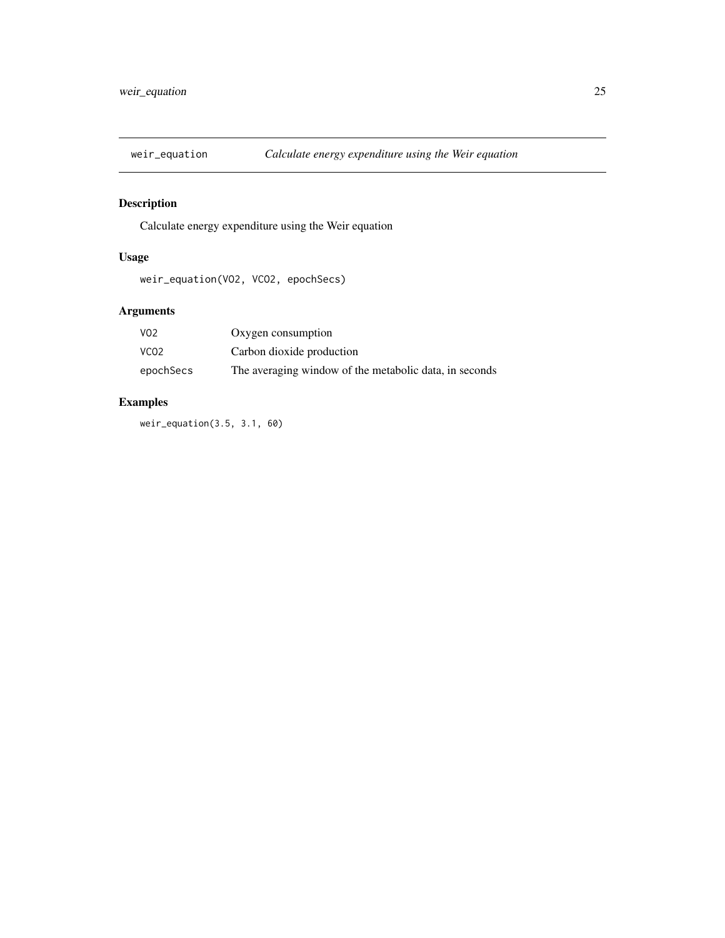<span id="page-24-1"></span><span id="page-24-0"></span>

Calculate energy expenditure using the Weir equation

#### Usage

weir\_equation(VO2, VCO2, epochSecs)

#### Arguments

| V <sub>0</sub> 2 | Oxygen consumption                                     |
|------------------|--------------------------------------------------------|
| VCO <sub>2</sub> | Carbon dioxide production                              |
| epochSecs        | The averaging window of the metabolic data, in seconds |

### Examples

weir\_equation(3.5, 3.1, 60)